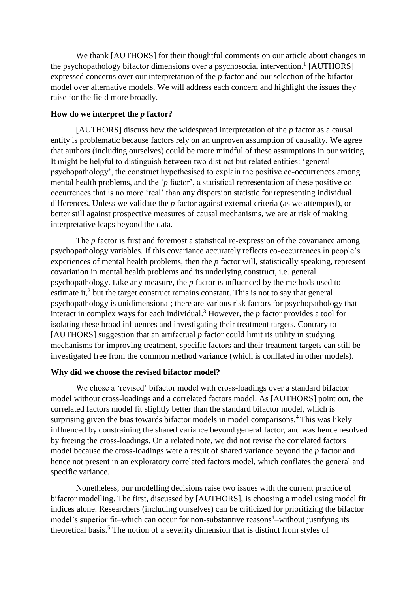We thank [AUTHORS] for their thoughtful comments on our article about changes in the psychopathology bifactor dimensions over a psychosocial intervention.<sup>1</sup> [AUTHORS] expressed concerns over our interpretation of the *p* factor and our selection of the bifactor model over alternative models. We will address each concern and highlight the issues they raise for the field more broadly.

## **How do we interpret the** *p* **factor?**

[AUTHORS] discuss how the widespread interpretation of the *p* factor as a causal entity is problematic because factors rely on an unproven assumption of causality. We agree that authors (including ourselves) could be more mindful of these assumptions in our writing. It might be helpful to distinguish between two distinct but related entities: 'general psychopathology', the construct hypothesised to explain the positive co-occurrences among mental health problems, and the '*p* factor', a statistical representation of these positive cooccurrences that is no more 'real' than any dispersion statistic for representing individual differences. Unless we validate the *p* factor against external criteria (as we attempted), or better still against prospective measures of causal mechanisms, we are at risk of making interpretative leaps beyond the data.

The *p* factor is first and foremost a statistical re-expression of the covariance among psychopathology variables. If this covariance accurately reflects co-occurrences in people's experiences of mental health problems, then the *p* factor will, statistically speaking, represent covariation in mental health problems and its underlying construct, i.e. general psychopathology. Like any measure, the *p* factor is influenced by the methods used to estimate it,<sup>2</sup> but the target construct remains constant. This is not to say that general psychopathology is unidimensional; there are various risk factors for psychopathology that interact in complex ways for each individual.<sup>3</sup> However, the *p* factor provides a tool for isolating these broad influences and investigating their treatment targets. Contrary to [AUTHORS] suggestion that an artifactual *p* factor could limit its utility in studying mechanisms for improving treatment, specific factors and their treatment targets can still be investigated free from the common method variance (which is conflated in other models).

## **Why did we choose the revised bifactor model?**

We chose a 'revised' bifactor model with cross-loadings over a standard bifactor model without cross-loadings and a correlated factors model. As [AUTHORS] point out, the correlated factors model fit slightly better than the standard bifactor model, which is surprising given the bias towards bifactor models in model comparisons.<sup>4</sup> This was likely influenced by constraining the shared variance beyond general factor, and was hence resolved by freeing the cross-loadings. On a related note, we did not revise the correlated factors model because the cross-loadings were a result of shared variance beyond the *p* factor and hence not present in an exploratory correlated factors model, which conflates the general and specific variance.

Nonetheless, our modelling decisions raise two issues with the current practice of bifactor modelling. The first, discussed by [AUTHORS], is choosing a model using model fit indices alone. Researchers (including ourselves) can be criticized for prioritizing the bifactor model's superior fit–which can occur for non-substantive reasons<sup>4</sup>–without justifying its theoretical basis.<sup>5</sup> The notion of a severity dimension that is distinct from styles of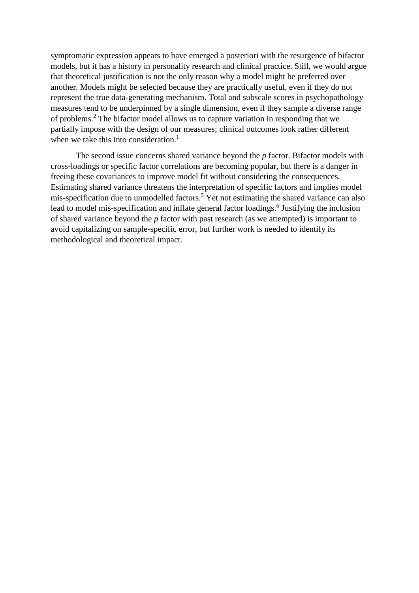symptomatic expression appears to have emerged a posteriori with the resurgence of bifactor models, but it has a history in personality research and clinical practice. Still, we would argue that theoretical justification is not the only reason why a model might be preferred over another. Models might be selected because they are practically useful, even if they do not represent the true data-generating mechanism. Total and subscale scores in psychopathology measures tend to be underpinned by a single dimension, even if they sample a diverse range of problems. <sup>2</sup> The bifactor model allows us to capture variation in responding that we partially impose with the design of our measures; clinical outcomes look rather different when we take this into consideration.<sup>1</sup>

The second issue concerns shared variance beyond the *p* factor. Bifactor models with cross-loadings or specific factor correlations are becoming popular, but there is a danger in freeing these covariances to improve model fit without considering the consequences. Estimating shared variance threatens the interpretation of specific factors and implies model mis-specification due to unmodelled factors.<sup>5</sup> Yet not estimating the shared variance can also lead to model mis-specification and inflate general factor loadings.<sup>6</sup> Justifying the inclusion of shared variance beyond the *p* factor with past research (as we attempted) is important to avoid capitalizing on sample-specific error, but further work is needed to identify its methodological and theoretical impact.